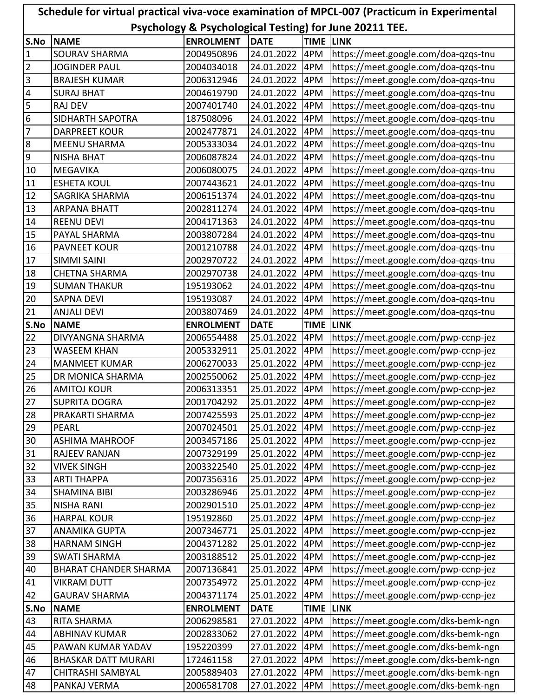| Schedule for virtual practical viva-voce examination of MPCL-007 (Practicum in Experimental |                              |                  |                |                  |                                      |  |  |  |
|---------------------------------------------------------------------------------------------|------------------------------|------------------|----------------|------------------|--------------------------------------|--|--|--|
| Psychology & Psychological Testing) for June 20211 TEE.                                     |                              |                  |                |                  |                                      |  |  |  |
| S.No                                                                                        | <b>NAME</b>                  | <b>ENROLMENT</b> | <b>DATE</b>    | <b>TIME LINK</b> |                                      |  |  |  |
| $\mathbf{1}$                                                                                | <b>SOURAV SHARMA</b>         | 2004950896       | 24.01.2022     | 4PM              | https://meet.google.com/doa-qzqs-tnu |  |  |  |
| $\overline{2}$                                                                              | JOGINDER PAUL                | 2004034018       | 24.01.2022     | 4PM              | https://meet.google.com/doa-qzqs-tnu |  |  |  |
| $\overline{3}$                                                                              | <b>BRAJESH KUMAR</b>         | 2006312946       | 24.01.2022     | 4PM              | https://meet.google.com/doa-qzqs-tnu |  |  |  |
| $\overline{4}$                                                                              | <b>SURAJ BHAT</b>            | 2004619790       | 24.01.2022     | 4PM              | https://meet.google.com/doa-qzqs-tnu |  |  |  |
| $\overline{5}$                                                                              | <b>RAJ DEV</b>               | 2007401740       | 24.01.2022     | 4PM              | https://meet.google.com/doa-qzqs-tnu |  |  |  |
| $\overline{6}$                                                                              | SIDHARTH SAPOTRA             | 187508096        | 24.01.2022     | 4PM              | https://meet.google.com/doa-qzqs-tnu |  |  |  |
| $\overline{7}$                                                                              | <b>DARPREET KOUR</b>         | 2002477871       | 24.01.2022     | 4PM              | https://meet.google.com/doa-qzqs-tnu |  |  |  |
| $\infty$                                                                                    | <b>MEENU SHARMA</b>          | 2005333034       | 24.01.2022     | 4PM              | https://meet.google.com/doa-qzqs-tnu |  |  |  |
| $\overline{9}$                                                                              | <b>NISHA BHAT</b>            | 2006087824       | 24.01.2022     | 4PM              | https://meet.google.com/doa-qzqs-tnu |  |  |  |
| 10                                                                                          | MEGAVIKA                     | 2006080075       | 24.01.2022     | 4PM              | https://meet.google.com/doa-qzqs-tnu |  |  |  |
| 11                                                                                          | <b>ESHETA KOUL</b>           | 2007443621       | 24.01.2022     | 4PM              | https://meet.google.com/doa-qzqs-tnu |  |  |  |
| 12                                                                                          | SAGRIKA SHARMA               | 2006151374       | 24.01.2022     | 4PM              | https://meet.google.com/doa-qzqs-tnu |  |  |  |
| 13                                                                                          | <b>ARPANA BHATT</b>          | 2002811274       | 24.01.2022     | 4PM              | https://meet.google.com/doa-qzqs-tnu |  |  |  |
| 14                                                                                          | <b>REENU DEVI</b>            | 2004171363       | 24.01.2022     | 4PM              | https://meet.google.com/doa-qzqs-tnu |  |  |  |
| 15                                                                                          | PAYAL SHARMA                 | 2003807284       | 24.01.2022     | 4PM              | https://meet.google.com/doa-qzqs-tnu |  |  |  |
| 16                                                                                          | PAVNEET KOUR                 | 2001210788       | 24.01.2022     | 4PM              | https://meet.google.com/doa-qzqs-tnu |  |  |  |
| 17                                                                                          | <b>SIMMI SAINI</b>           | 2002970722       | 24.01.2022     | 4PM              | https://meet.google.com/doa-qzqs-tnu |  |  |  |
| 18                                                                                          | <b>CHETNA SHARMA</b>         | 2002970738       | 24.01.2022     | 4PM              | https://meet.google.com/doa-qzqs-tnu |  |  |  |
| 19                                                                                          | <b>SUMAN THAKUR</b>          | 195193062        | 24.01.2022     | 4PM              | https://meet.google.com/doa-qzqs-tnu |  |  |  |
| 20                                                                                          | <b>SAPNA DEVI</b>            | 195193087        | 24.01.2022     | 4PM              | https://meet.google.com/doa-qzqs-tnu |  |  |  |
| 21                                                                                          | <b>ANJALI DEVI</b>           | 2003807469       | 24.01.2022     | 4PM              | https://meet.google.com/doa-qzqs-tnu |  |  |  |
| S.No                                                                                        | <b>NAME</b>                  | <b>ENROLMENT</b> | <b>DATE</b>    | <b>TIME</b>      | <b>LINK</b>                          |  |  |  |
| 22                                                                                          | DIVYANGNA SHARMA             | 2006554488       | 25.01.2022     | 4PM              | https://meet.google.com/pwp-ccnp-jez |  |  |  |
| 23                                                                                          | <b>WASEEM KHAN</b>           | 2005332911       | 25.01.2022     | 4PM              | https://meet.google.com/pwp-ccnp-jez |  |  |  |
| 24                                                                                          | <b>MANMEET KUMAR</b>         | 2006270033       | 25.01.2022     | 4PM              | https://meet.google.com/pwp-ccnp-jez |  |  |  |
| 25                                                                                          | DR MONICA SHARMA             | 2002550062       | 25.01.2022     | 4PM              | https://meet.google.com/pwp-ccnp-jez |  |  |  |
| $\overline{26}$                                                                             | <b>AMITOJ KOUR</b>           | 2006313351       | 25.01.2022     | 4PM              | https://meet.google.com/pwp-ccnp-jez |  |  |  |
| $\overline{27}$                                                                             | <b>SUPRITA DOGRA</b>         | 2001704292       | 25.01.2022 4PM |                  | https://meet.google.com/pwp-ccnp-jez |  |  |  |
| 28                                                                                          | PRAKARTI SHARMA              | 2007425593       | 25.01.2022     | 4PM              | https://meet.google.com/pwp-ccnp-jez |  |  |  |
| 29                                                                                          | <b>PEARL</b>                 | 2007024501       | 25.01.2022     | 4PM              | https://meet.google.com/pwp-ccnp-jez |  |  |  |
| 30                                                                                          | <b>ASHIMA MAHROOF</b>        | 2003457186       | 25.01.2022     | 4PM              | https://meet.google.com/pwp-ccnp-jez |  |  |  |
| 31                                                                                          | <b>RAJEEV RANJAN</b>         | 2007329199       | 25.01.2022     | 4PM              | https://meet.google.com/pwp-ccnp-jez |  |  |  |
| 32                                                                                          | <b>VIVEK SINGH</b>           | 2003322540       | 25.01.2022     | 4PM              | https://meet.google.com/pwp-ccnp-jez |  |  |  |
| 33                                                                                          | <b>ARTI THAPPA</b>           | 2007356316       | 25.01.2022     | 4PM              | https://meet.google.com/pwp-ccnp-jez |  |  |  |
| 34                                                                                          | <b>SHAMINA BIBI</b>          | 2003286946       | 25.01.2022     | 4PM              | https://meet.google.com/pwp-ccnp-jez |  |  |  |
| 35                                                                                          | <b>NISHA RANI</b>            | 2002901510       | 25.01.2022     | 4PM              | https://meet.google.com/pwp-ccnp-jez |  |  |  |
| 36                                                                                          | <b>HARPAL KOUR</b>           | 195192860        | 25.01.2022     | 4PM              | https://meet.google.com/pwp-ccnp-jez |  |  |  |
| 37                                                                                          | ANAMIKA GUPTA                | 2007346771       | 25.01.2022     | 4PM              | https://meet.google.com/pwp-ccnp-jez |  |  |  |
| 38                                                                                          | <b>HARNAM SINGH</b>          | 2004371282       | 25.01.2022     | 4PM              | https://meet.google.com/pwp-ccnp-jez |  |  |  |
| 39                                                                                          | <b>SWATI SHARMA</b>          | 2003188512       | 25.01.2022     | 4PM              | https://meet.google.com/pwp-ccnp-jez |  |  |  |
| 40                                                                                          | <b>BHARAT CHANDER SHARMA</b> | 2007136841       | 25.01.2022     | 4PM              | https://meet.google.com/pwp-ccnp-jez |  |  |  |
| 41                                                                                          | <b>VIKRAM DUTT</b>           | 2007354972       | 25.01.2022     | 4PM              | https://meet.google.com/pwp-ccnp-jez |  |  |  |
| 42                                                                                          | <b>GAURAV SHARMA</b>         | 2004371174       | 25.01.2022     | 4PM              | https://meet.google.com/pwp-ccnp-jez |  |  |  |
| S.No                                                                                        | <b>NAME</b>                  | <b>ENROLMENT</b> | <b>DATE</b>    | <b>TIME</b>      | <b>LINK</b>                          |  |  |  |
| 43                                                                                          | RITA SHARMA                  | 2006298581       | 27.01.2022     | 4PM              | https://meet.google.com/dks-bemk-ngn |  |  |  |
| 44                                                                                          | <b>ABHINAV KUMAR</b>         | 2002833062       | 27.01.2022     | 4PM              | https://meet.google.com/dks-bemk-ngn |  |  |  |
| 45                                                                                          | PAWAN KUMAR YADAV            | 195220399        | 27.01.2022     | 4PM              | https://meet.google.com/dks-bemk-ngn |  |  |  |
| 46                                                                                          | <b>BHASKAR DATT MURARI</b>   | 172461158        | 27.01.2022     | 4PM              | https://meet.google.com/dks-bemk-ngn |  |  |  |
| 47                                                                                          | CHITRASHI SAMBYAL            | 2005889403       | 27.01.2022     | 4PM              | https://meet.google.com/dks-bemk-ngn |  |  |  |
| 48                                                                                          | PANKAJ VERMA                 | 2006581708       | 27.01.2022     | 4PM              | https://meet.google.com/dks-bemk-ngn |  |  |  |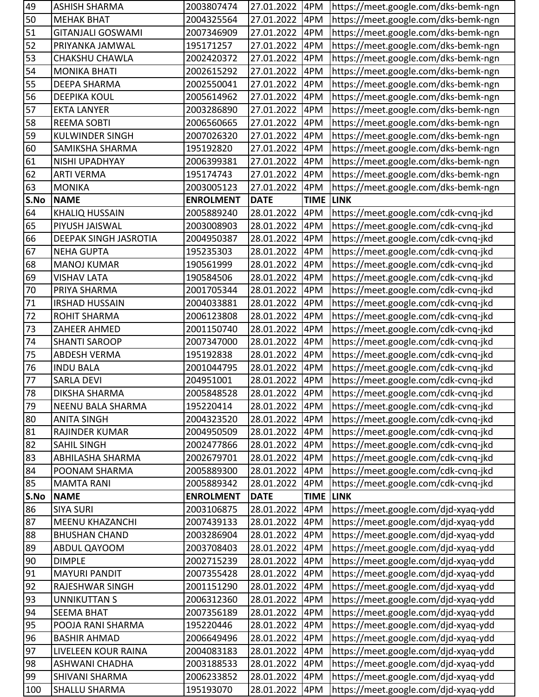| 49   | <b>ASHISH SHARMA</b>     | 2003807474       | 27.01.2022  | 4PM         | https://meet.google.com/dks-bemk-ngn |
|------|--------------------------|------------------|-------------|-------------|--------------------------------------|
| 50   | <b>MEHAK BHAT</b>        | 2004325564       | 27.01.2022  | 4PM         | https://meet.google.com/dks-bemk-ngn |
| 51   | <b>GITANJALI GOSWAMI</b> | 2007346909       | 27.01.2022  | 4PM         | https://meet.google.com/dks-bemk-ngn |
| 52   | PRIYANKA JAMWAL          | 195171257        | 27.01.2022  | 4PM         | https://meet.google.com/dks-bemk-ngn |
| 53   | CHAKSHU CHAWLA           | 2002420372       | 27.01.2022  | 4PM         | https://meet.google.com/dks-bemk-ngn |
| 54   | <b>MONIKA BHATI</b>      | 2002615292       | 27.01.2022  | 4PM         | https://meet.google.com/dks-bemk-ngn |
| 55   | <b>DEEPA SHARMA</b>      | 2002550041       | 27.01.2022  | 4PM         | https://meet.google.com/dks-bemk-ngn |
| 56   | <b>DEEPIKA KOUL</b>      | 2005614962       | 27.01.2022  | 4PM         | https://meet.google.com/dks-bemk-ngn |
| 57   | <b>EKTA LANYER</b>       | 2003286890       | 27.01.2022  | 4PM         | https://meet.google.com/dks-bemk-ngn |
| 58   | <b>REEMA SOBTI</b>       | 2006560665       | 27.01.2022  | 4PM         | https://meet.google.com/dks-bemk-ngn |
| 59   | <b>KULWINDER SINGH</b>   | 2007026320       | 27.01.2022  | 4PM         | https://meet.google.com/dks-bemk-ngn |
| 60   | SAMIKSHA SHARMA          | 195192820        | 27.01.2022  | 4PM         | https://meet.google.com/dks-bemk-ngn |
| 61   | NISHI UPADHYAY           | 2006399381       | 27.01.2022  | 4PM         | https://meet.google.com/dks-bemk-ngn |
| 62   | <b>ARTI VERMA</b>        | 195174743        | 27.01.2022  | 4PM         | https://meet.google.com/dks-bemk-ngn |
| 63   | <b>MONIKA</b>            | 2003005123       | 27.01.2022  | 4PM         | https://meet.google.com/dks-bemk-ngn |
| S.No | <b>NAME</b>              | <b>ENROLMENT</b> | <b>DATE</b> | <b>TIME</b> | <b>LINK</b>                          |
| 64   | <b>KHALIQ HUSSAIN</b>    | 2005889240       | 28.01.2022  | 4PM         | https://meet.google.com/cdk-cvnq-jkd |
| 65   | PIYUSH JAISWAL           | 2003008903       | 28.01.2022  | 4PM         | https://meet.google.com/cdk-cvnq-jkd |
| 66   | DEEPAK SINGH JASROTIA    | 2004950387       | 28.01.2022  | 4PM         | https://meet.google.com/cdk-cvnq-jkd |
| 67   | <b>NEHA GUPTA</b>        | 195235303        | 28.01.2022  | 4PM         | https://meet.google.com/cdk-cvnq-jkd |
| 68   | <b>MANOJ KUMAR</b>       | 190561999        | 28.01.2022  | 4PM         | https://meet.google.com/cdk-cvnq-jkd |
| 69   | <b>VISHAV LATA</b>       | 190584506        | 28.01.2022  | 4PM         | https://meet.google.com/cdk-cvnq-jkd |
| 70   | PRIYA SHARMA             | 2001705344       | 28.01.2022  | 4PM         | https://meet.google.com/cdk-cvnq-jkd |
| 71   | <b>IRSHAD HUSSAIN</b>    | 2004033881       | 28.01.2022  | 4PM         | https://meet.google.com/cdk-cvnq-jkd |
| 72   | ROHIT SHARMA             | 2006123808       | 28.01.2022  | 4PM         | https://meet.google.com/cdk-cvnq-jkd |
| 73   | ZAHEER AHMED             | 2001150740       | 28.01.2022  | 4PM         | https://meet.google.com/cdk-cvnq-jkd |
| 74   | <b>SHANTI SAROOP</b>     | 2007347000       | 28.01.2022  | 4PM         | https://meet.google.com/cdk-cvnq-jkd |
| 75   | <b>ABDESH VERMA</b>      | 195192838        | 28.01.2022  | 4PM         | https://meet.google.com/cdk-cvnq-jkd |
| 76   | <b>INDU BALA</b>         | 2001044795       | 28.01.2022  | 4PM         | https://meet.google.com/cdk-cvnq-jkd |
| 77   | <b>SARLA DEVI</b>        | 204951001        | 28.01.2022  | 4PM         | https://meet.google.com/cdk-cvnq-jkd |
| 78   | <b>DIKSHA SHARMA</b>     | 2005848528       | 28.01.2022  | 4PM         | https://meet.google.com/cdk-cvnq-jkd |
| 79   | NEENU BALA SHARMA        | 195220414        | 28.01.2022  | 4PM         | https://meet.google.com/cdk-cvnq-jkd |
| 80   | <b>ANITA SINGH</b>       | 2004323520       | 28.01.2022  | 4PM         | https://meet.google.com/cdk-cvnq-jkd |
| 81   | RAJINDER KUMAR           | 2004950509       | 28.01.2022  | 4PM         | https://meet.google.com/cdk-cvnq-jkd |
| 82   | <b>SAHIL SINGH</b>       | 2002477866       | 28.01.2022  | 4PM         | https://meet.google.com/cdk-cvnq-jkd |
| 83   | <b>ABHILASHA SHARMA</b>  | 2002679701       | 28.01.2022  | 4PM         | https://meet.google.com/cdk-cvnq-jkd |
| 84   | POONAM SHARMA            | 2005889300       | 28.01.2022  | 4PM         | https://meet.google.com/cdk-cvnq-jkd |
| 85   | <b>MAMTA RANI</b>        | 2005889342       | 28.01.2022  | 4PM         | https://meet.google.com/cdk-cvnq-jkd |
| S.No | <b>NAME</b>              | <b>ENROLMENT</b> | <b>DATE</b> | <b>TIME</b> | <b>LINK</b>                          |
| 86   | <b>SIYA SURI</b>         | 2003106875       | 28.01.2022  | 4PM         | https://meet.google.com/djd-xyaq-ydd |
| 87   | <b>MEENU KHAZANCHI</b>   | 2007439133       | 28.01.2022  | 4PM         | https://meet.google.com/djd-xyaq-ydd |
| 88   | <b>BHUSHAN CHAND</b>     | 2003286904       | 28.01.2022  | 4PM         | https://meet.google.com/djd-xyaq-ydd |
| 89   | ABDUL QAYOOM             | 2003708403       | 28.01.2022  | 4PM         | https://meet.google.com/djd-xyaq-ydd |
| 90   | <b>DIMPLE</b>            | 2002715239       | 28.01.2022  | 4PM         | https://meet.google.com/djd-xyaq-ydd |
| 91   | <b>MAYURI PANDIT</b>     | 2007355428       | 28.01.2022  | 4PM         | https://meet.google.com/djd-xyaq-ydd |
| 92   | RAJESHWAR SINGH          | 2001151290       | 28.01.2022  | 4PM         | https://meet.google.com/djd-xyaq-ydd |
| 93   | <b>UNNIKUTTAN S</b>      | 2006312360       | 28.01.2022  | 4PM         | https://meet.google.com/djd-xyaq-ydd |
| 94   | <b>SEEMA BHAT</b>        | 2007356189       | 28.01.2022  | 4PM         | https://meet.google.com/djd-xyaq-ydd |
| 95   | POOJA RANI SHARMA        | 195220446        | 28.01.2022  | 4PM         | https://meet.google.com/djd-xyaq-ydd |
| 96   | <b>BASHIR AHMAD</b>      | 2006649496       | 28.01.2022  | 4PM         | https://meet.google.com/djd-xyaq-ydd |
| 97   | LIVELEEN KOUR RAINA      | 2004083183       | 28.01.2022  | 4PM         | https://meet.google.com/djd-xyaq-ydd |
| 98   | <b>ASHWANI CHADHA</b>    | 2003188533       | 28.01.2022  | 4PM         | https://meet.google.com/djd-xyaq-ydd |
| 99   | SHIVANI SHARMA           | 2006233852       | 28.01.2022  | 4PM         | https://meet.google.com/djd-xyaq-ydd |
| 100  | <b>SHALLU SHARMA</b>     | 195193070        | 28.01.2022  | 4PM         | https://meet.google.com/djd-xyaq-ydd |